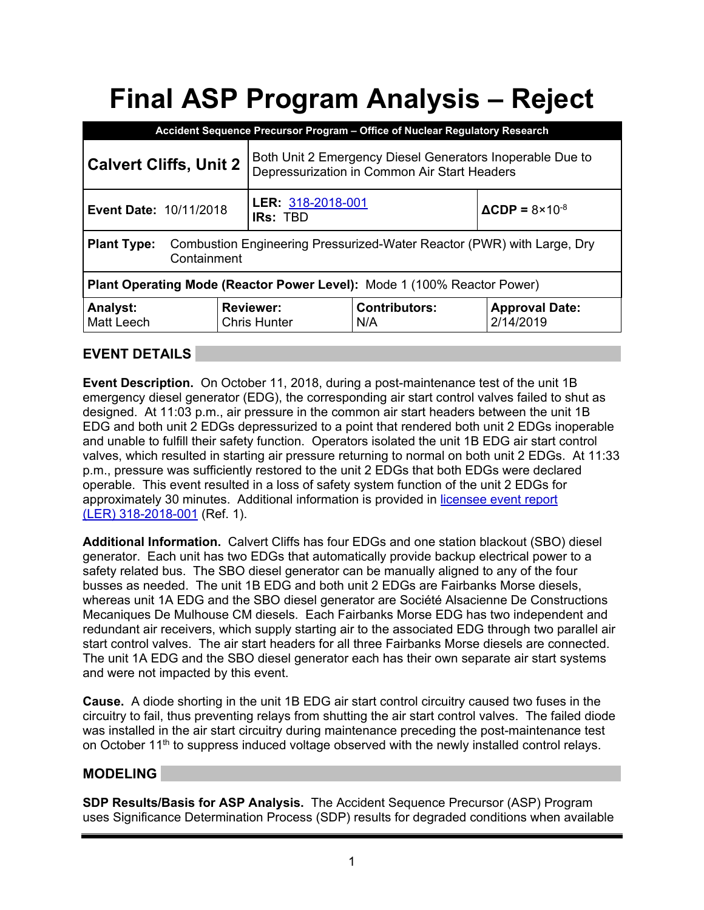# **Final ASP Program Analysis – Reject**

| Accident Sequence Precursor Program - Office of Nuclear Regulatory Research                                 |                                                                                                           |                             |                                      |  |  |  |
|-------------------------------------------------------------------------------------------------------------|-----------------------------------------------------------------------------------------------------------|-----------------------------|--------------------------------------|--|--|--|
| <b>Calvert Cliffs, Unit 2</b>                                                                               | Both Unit 2 Emergency Diesel Generators Inoperable Due to<br>Depressurization in Common Air Start Headers |                             |                                      |  |  |  |
| <b>Event Date: 10/11/2018</b>                                                                               | LER: 318-2018-001<br><b>IRs: TBD</b>                                                                      |                             | $\triangle$ CDP = 8×10 <sup>-8</sup> |  |  |  |
| Combustion Engineering Pressurized-Water Reactor (PWR) with Large, Dry<br><b>Plant Type:</b><br>Containment |                                                                                                           |                             |                                      |  |  |  |
| Plant Operating Mode (Reactor Power Level): Mode 1 (100% Reactor Power)                                     |                                                                                                           |                             |                                      |  |  |  |
| <b>Analyst:</b><br>Matt Leech                                                                               | <b>Reviewer:</b><br><b>Chris Hunter</b>                                                                   | <b>Contributors:</b><br>N/A | <b>Approval Date:</b><br>2/14/2019   |  |  |  |

## **EVENT DETAILS**

**Event Description.** On October 11, 2018, during a post-maintenance test of the unit 1B emergency diesel generator (EDG), the corresponding air start control valves failed to shut as designed. At 11:03 p.m., air pressure in the common air start headers between the unit 1B EDG and both unit 2 EDGs depressurized to a point that rendered both unit 2 EDGs inoperable and unable to fulfill their safety function. Operators isolated the unit 1B EDG air start control valves, which resulted in starting air pressure returning to normal on both unit 2 EDGs. At 11:33 p.m., pressure was sufficiently restored to the unit 2 EDGs that both EDGs were declared operable. This event resulted in a loss of safety system function of the unit 2 EDGs for approximately 30 minutes. Additional information is provided in licensee event report (LER) 318-2018-001 (Ref. 1).

**Additional Information.** Calvert Cliffs has four EDGs and one station blackout (SBO) diesel generator. Each unit has two EDGs that automatically provide backup electrical power to a safety related bus. The SBO diesel generator can be manually aligned to any of the four busses as needed. The unit 1B EDG and both unit 2 EDGs are Fairbanks Morse diesels, whereas unit 1A EDG and the SBO diesel generator are Société Alsacienne De Constructions Mecaniques De Mulhouse CM diesels. Each Fairbanks Morse EDG has two independent and redundant air receivers, which supply starting air to the associated EDG through two parallel air start control valves. The air start headers for all three Fairbanks Morse diesels are connected. The unit 1A EDG and the SBO diesel generator each has their own separate air start systems and were not impacted by this event.

**Cause.** A diode shorting in the unit 1B EDG air start control circuitry caused two fuses in the circuitry to fail, thus preventing relays from shutting the air start control valves. The failed diode was installed in the air start circuitry during maintenance preceding the post-maintenance test on October 11<sup>th</sup> to suppress induced voltage observed with the newly installed control relays.

#### **MODELING**

**SDP Results/Basis for ASP Analysis.** The Accident Sequence Precursor (ASP) Program uses Significance Determination Process (SDP) results for degraded conditions when available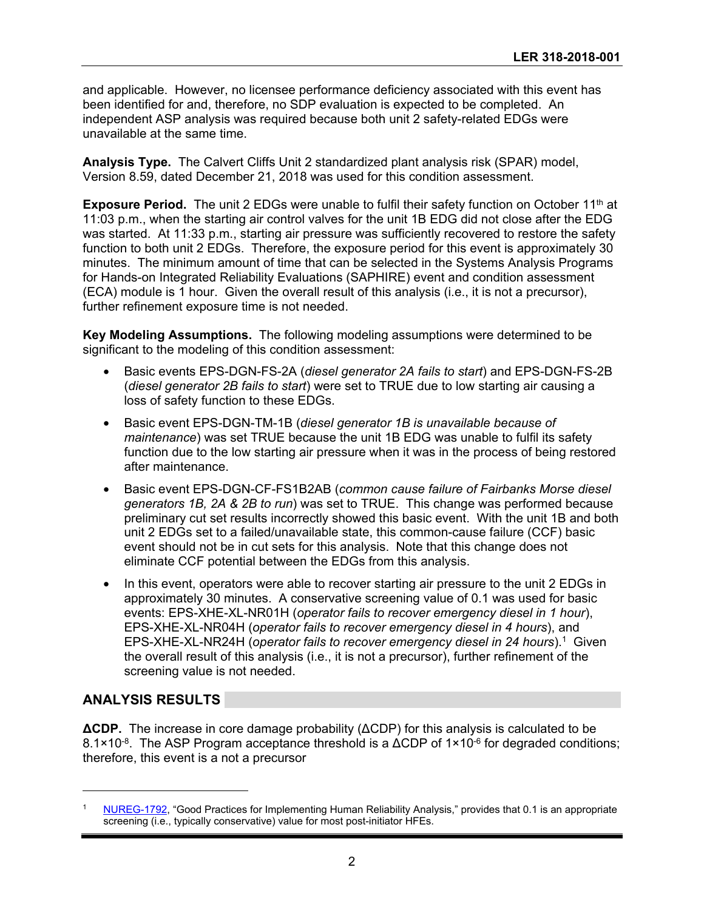and applicable. However, no licensee performance deficiency associated with this event has been identified for and, therefore, no SDP evaluation is expected to be completed. An independent ASP analysis was required because both unit 2 safety-related EDGs were unavailable at the same time.

**Analysis Type.** The Calvert Cliffs Unit 2 standardized plant analysis risk (SPAR) model, Version 8.59, dated December 21, 2018 was used for this condition assessment.

**Exposure Period.** The unit 2 EDGs were unable to fulfil their safety function on October 11<sup>th</sup> at 11:03 p.m., when the starting air control valves for the unit 1B EDG did not close after the EDG was started. At 11:33 p.m., starting air pressure was sufficiently recovered to restore the safety function to both unit 2 EDGs. Therefore, the exposure period for this event is approximately 30 minutes. The minimum amount of time that can be selected in the Systems Analysis Programs for Hands-on Integrated Reliability Evaluations (SAPHIRE) event and condition assessment (ECA) module is 1 hour. Given the overall result of this analysis (i.e., it is not a precursor), further refinement exposure time is not needed.

**Key Modeling Assumptions.** The following modeling assumptions were determined to be significant to the modeling of this condition assessment:

- Basic events EPS-DGN-FS-2A (*diesel generator 2A fails to start*) and EPS-DGN-FS-2B (*diesel generator 2B fails to start*) were set to TRUE due to low starting air causing a loss of safety function to these EDGs.
- Basic event EPS-DGN-TM-1B (*diesel generator 1B is unavailable because of maintenance*) was set TRUE because the unit 1B EDG was unable to fulfil its safety function due to the low starting air pressure when it was in the process of being restored after maintenance.
- Basic event EPS-DGN-CF-FS1B2AB (*common cause failure of Fairbanks Morse diesel generators 1B, 2A & 2B to run*) was set to TRUE. This change was performed because preliminary cut set results incorrectly showed this basic event. With the unit 1B and both unit 2 EDGs set to a failed/unavailable state, this common-cause failure (CCF) basic event should not be in cut sets for this analysis. Note that this change does not eliminate CCF potential between the EDGs from this analysis.
- In this event, operators were able to recover starting air pressure to the unit 2 EDGs in approximately 30 minutes. A conservative screening value of 0.1 was used for basic events: EPS-XHE-XL-NR01H (*operator fails to recover emergency diesel in 1 hour*), EPS-XHE-XL-NR04H (*operator fails to recover emergency diesel in 4 hours*), and EPS-XHE-XL-NR24H (*operator fails to recover emergency diesel in 24 hours*).1 Given the overall result of this analysis (i.e., it is not a precursor), further refinement of the screening value is not needed.

#### **ANALYSIS RESULTS**

-

**ΔCDP.** The increase in core damage probability (ΔCDP) for this analysis is calculated to be  $8.1\times10^{-8}$ . The ASP Program acceptance threshold is a  $\Delta$ CDP of 1×10<sup>-6</sup> for degraded conditions; therefore, this event is a not a precursor

NUREG-1792, "Good Practices for Implementing Human Reliability Analysis," provides that 0.1 is an appropriate screening (i.e., typically conservative) value for most post-initiator HFEs.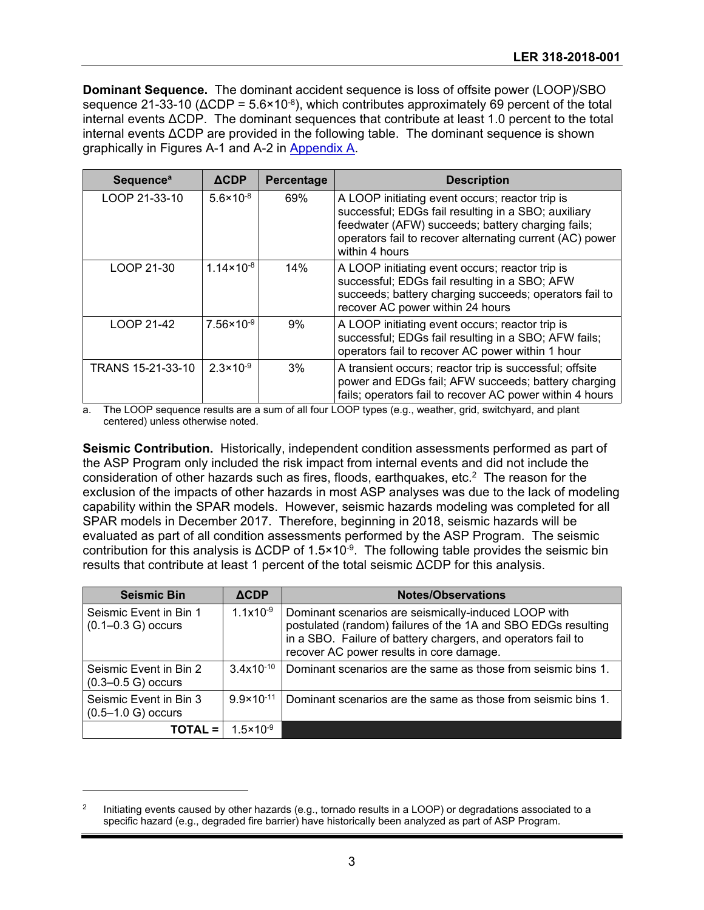**Dominant Sequence.** The dominant accident sequence is loss of offsite power (LOOP)/SBO sequence 21-33-10 ( $\triangle$ CDP = 5.6×10<sup>-8</sup>), which contributes approximately 69 percent of the total internal events ΔCDP. The dominant sequences that contribute at least 1.0 percent to the total internal events ΔCDP are provided in the following table. The dominant sequence is shown graphically in Figures A-1 and A-2 in Appendix A.

| <b>Sequence<sup>a</sup></b> | $\triangle$ CDP       | Percentage | <b>Description</b>                                                                                                                                                                                                                        |
|-----------------------------|-----------------------|------------|-------------------------------------------------------------------------------------------------------------------------------------------------------------------------------------------------------------------------------------------|
| LOOP 21-33-10               | $5.6 \times 10^{-8}$  | 69%        | A LOOP initiating event occurs; reactor trip is<br>successful; EDGs fail resulting in a SBO; auxiliary<br>feedwater (AFW) succeeds; battery charging fails;<br>operators fail to recover alternating current (AC) power<br>within 4 hours |
| LOOP 21-30                  | $1.14 \times 10^{-8}$ | 14%        | A LOOP initiating event occurs; reactor trip is<br>successful; EDGs fail resulting in a SBO; AFW<br>succeeds; battery charging succeeds; operators fail to<br>recover AC power within 24 hours                                            |
| LOOP 21-42                  | $7.56 \times 10^{-9}$ | 9%         | A LOOP initiating event occurs; reactor trip is<br>successful; EDGs fail resulting in a SBO; AFW fails;<br>operators fail to recover AC power within 1 hour                                                                               |
| TRANS 15-21-33-10           | $2.3 \times 10^{-9}$  | 3%         | A transient occurs; reactor trip is successful; offsite<br>power and EDGs fail; AFW succeeds; battery charging<br>fails; operators fail to recover AC power within 4 hours                                                                |

a. The LOOP sequence results are a sum of all four LOOP types (e.g., weather, grid, switchyard, and plant centered) unless otherwise noted.

**Seismic Contribution.** Historically, independent condition assessments performed as part of the ASP Program only included the risk impact from internal events and did not include the consideration of other hazards such as fires, floods, earthquakes, etc. $2$  The reason for the exclusion of the impacts of other hazards in most ASP analyses was due to the lack of modeling capability within the SPAR models. However, seismic hazards modeling was completed for all SPAR models in December 2017. Therefore, beginning in 2018, seismic hazards will be evaluated as part of all condition assessments performed by the ASP Program. The seismic contribution for this analysis is ΔCDP of 1.5×10-9. The following table provides the seismic bin results that contribute at least 1 percent of the total seismic ΔCDP for this analysis.

| <b>Seismic Bin</b>                               | <b>ACDP</b>           | <b>Notes/Observations</b>                                                                                                                                                                                                         |
|--------------------------------------------------|-----------------------|-----------------------------------------------------------------------------------------------------------------------------------------------------------------------------------------------------------------------------------|
| Seismic Event in Bin 1<br>$(0.1 - 0.3 G)$ occurs | $1.1x10^{-9}$         | Dominant scenarios are seismically-induced LOOP with<br>postulated (random) failures of the 1A and SBO EDGs resulting<br>in a SBO. Failure of battery chargers, and operators fail to<br>recover AC power results in core damage. |
| Seismic Event in Bin 2<br>$(0.3 - 0.5 G)$ occurs | $3.4x10^{-10}$        | Dominant scenarios are the same as those from seismic bins 1.                                                                                                                                                                     |
| Seismic Event in Bin 3<br>$(0.5 - 1.0 G)$ occurs | $9.9 \times 10^{-11}$ | Dominant scenarios are the same as those from seismic bins 1.                                                                                                                                                                     |
| TOTAL =                                          | $1.5 \times 10^{-9}$  |                                                                                                                                                                                                                                   |

<sup>&</sup>lt;sup>2</sup> Initiating events caused by other hazards (e.g., tornado results in a LOOP) or degradations associated to a specific hazard (e.g., degraded fire barrier) have historically been analyzed as part of ASP Program.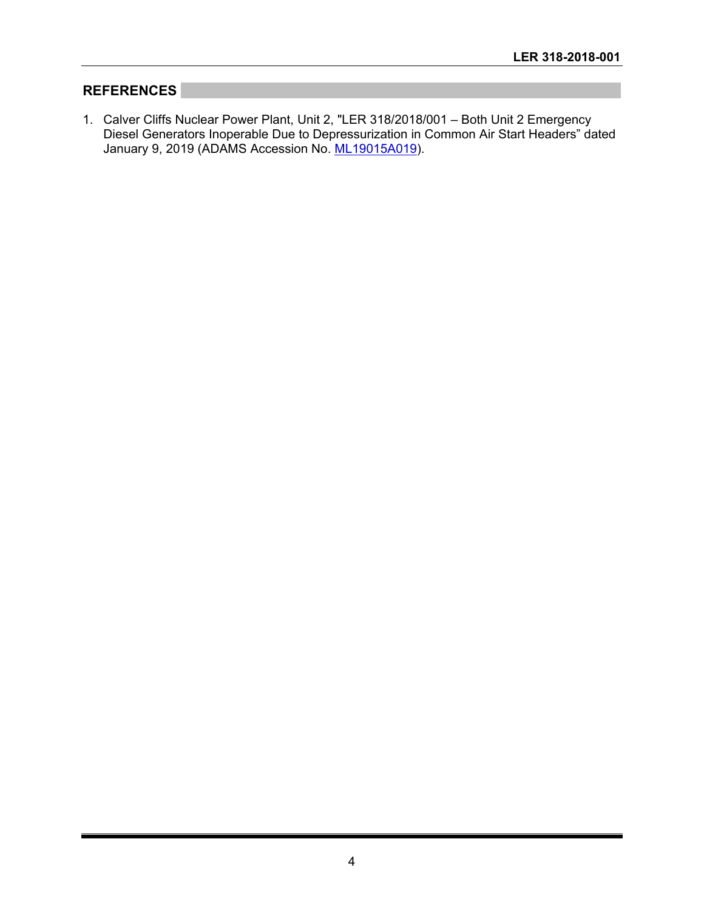## **REFERENCES**

1. Calver Cliffs Nuclear Power Plant, Unit 2, "LER 318/2018/001 – Both Unit 2 Emergency Diesel Generators Inoperable Due to Depressurization in Common Air Start Headers" dated January 9, 2019 (ADAMS Accession No. ML19015A019).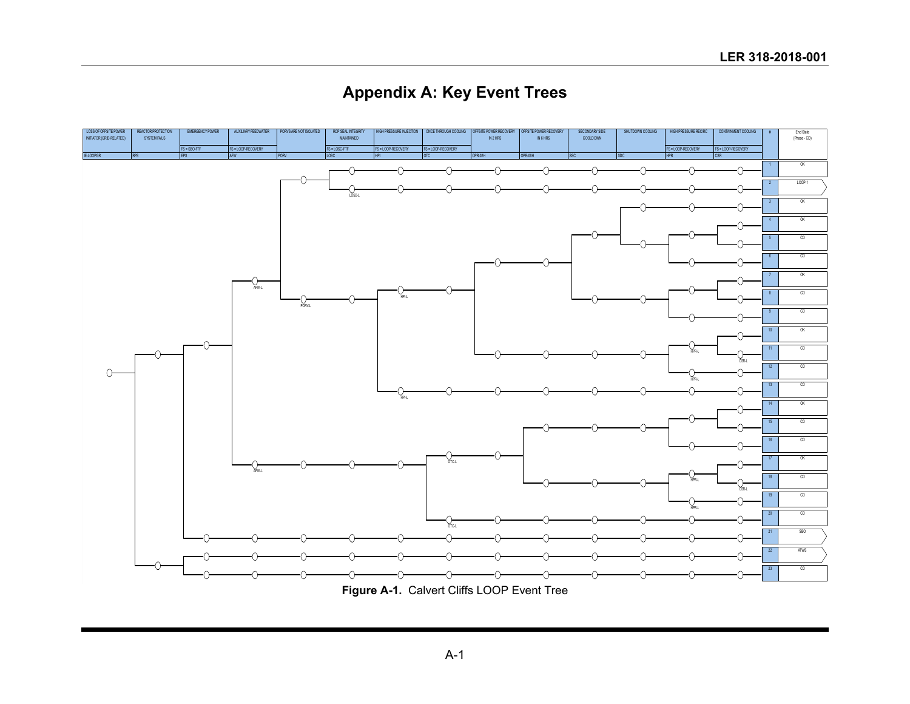**Appendix A: Key Event Trees**